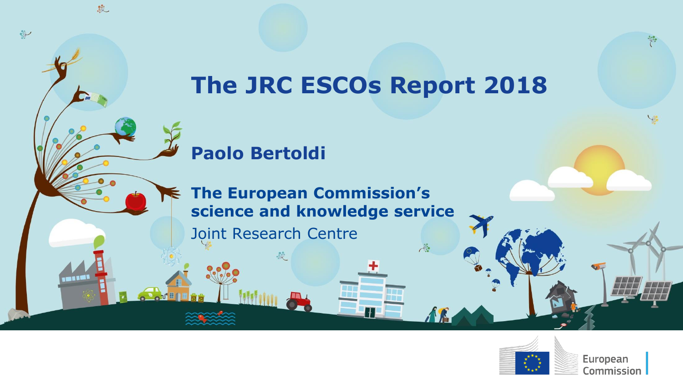### **The JRC ESCOs Report 2018**

 $\lambda$ 

### **Paolo Bertoldi**

É

敦

**THE** 

 $\frac{1}{2}$ 

**The European Commission's science and knowledge service**

Joint Research Centre



European Commission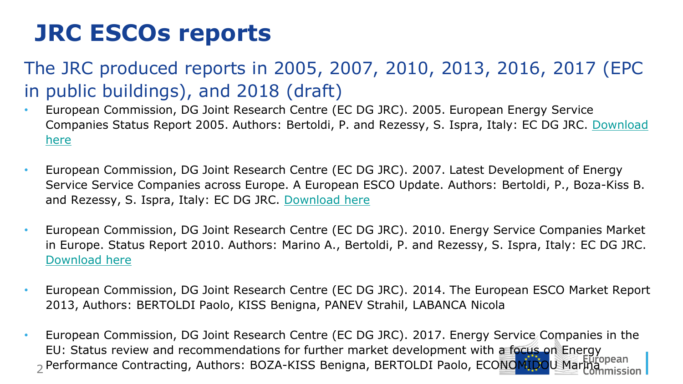### **JRC ESCOs reports**

### The JRC produced reports in 2005, 2007, 2010, 2013, 2016, 2017 (EPC in public buildings), and 2018 (draft)

- European Commission, DG Joint Research Centre (EC DG JRC). 2005. European Energy Service [Companies Status Report 2005. Authors: Bertoldi, P. and Rezessy, S. Ispra, Italy: EC DG JRC. Download](http://bookshop.europa.eu/en/energy-services-companies-in-europe-pbLBNA21646/downloads/LB-NA-21646-EN-C/LBNA21646ENC_002.pdf?FileName=LBNA21646ENC_002.pdf&SKU=LBNA21646ENC_PDF&CatalogueNumber=LB-NA-21646-EN-C)  here
- European Commission, DG Joint Research Centre (EC DG JRC). 2007. Latest Development of Energy Service Service Companies across Europe. A European ESCO Update. Authors: Bertoldi, P., Boza-Kiss B. and Rezessy, S. Ispra, Italy: EC DG JRC. [Download here](http://bookshop.europa.eu/en/latest-development-of-energy-service-companies-across-europe-pbLBNA22927/)
- European Commission, DG Joint Research Centre (EC DG JRC). 2010. Energy Service Companies Market in Europe. Status Report 2010. Authors: Marino A., Bertoldi, P. and Rezessy, S. Ispra, Italy: EC DG JRC. [Download here](http://bookshop.europa.eu/en/energy-service-companies-market-in-europe-pbLBNA24516/)
- European Commission, DG Joint Research Centre (EC DG JRC). 2014. The European ESCO Market Report 2013, Authors: BERTOLDI Paolo, KISS Benigna, PANEV Strahil, LABANCA Nicola
- <sub>2</sub> Performance Contracting, Authors: BOZA-KISS Benigna, BERTOLDI Paolo, ECONOMIDOU Marክክ • European Commission, DG Joint Research Centre (EC DG JRC). 2017. Energy Service Companies in the EU: Status review and recommendations for further market development with a focus on Energy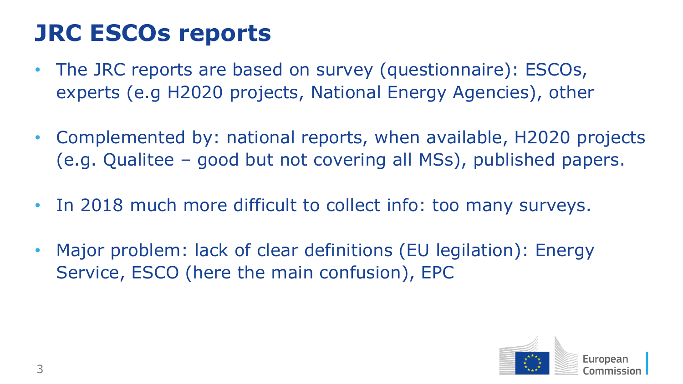## **JRC ESCOs reports**

- The JRC reports are based on survey (questionnaire): ESCOs, experts (e.g H2020 projects, National Energy Agencies), other
- Complemented by: national reports, when available, H2020 projects (e.g. Qualitee – good but not covering all MSs), published papers.
- In 2018 much more difficult to collect info: too many surveys.
- Major problem: lack of clear definitions (EU legilation): Energy Service, ESCO (here the main confusion), EPC

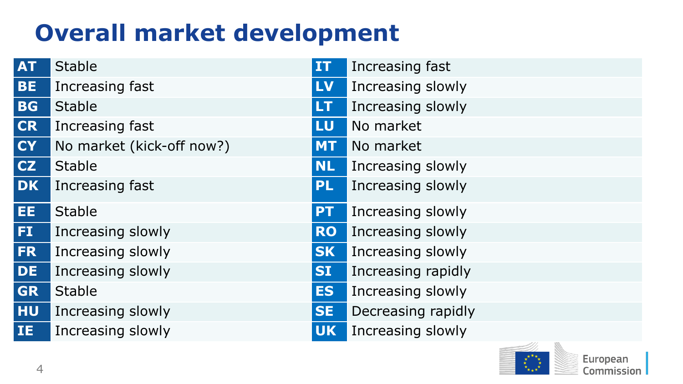# **Overall market development**

| <b>AT</b> | <b>Stable</b>             | <b>IT</b> | Increasing fast    |
|-----------|---------------------------|-----------|--------------------|
| <b>BE</b> | Increasing fast           | <b>LV</b> | Increasing slowly  |
| <b>BG</b> | <b>Stable</b>             | <b>LT</b> | Increasing slowly  |
| <b>CR</b> | Increasing fast           | LU        | No market          |
| <b>CY</b> | No market (kick-off now?) | <b>MT</b> | No market          |
| <b>CZ</b> | <b>Stable</b>             | <b>NL</b> | Increasing slowly  |
| <b>DK</b> | Increasing fast           | <b>PL</b> | Increasing slowly  |
| EE.       | <b>Stable</b>             | <b>PT</b> | Increasing slowly  |
| FI.       | Increasing slowly         | <b>RO</b> | Increasing slowly  |
| FR.       | Increasing slowly         | <b>SK</b> | Increasing slowly  |
| <b>DE</b> | Increasing slowly         | <b>SI</b> | Increasing rapidly |
| <b>GR</b> | <b>Stable</b>             | <b>ES</b> | Increasing slowly  |
| <b>HU</b> | Increasing slowly         | <b>SE</b> | Decreasing rapidly |
| IE.       | Increasing slowly         | <b>UK</b> | Increasing slowly  |

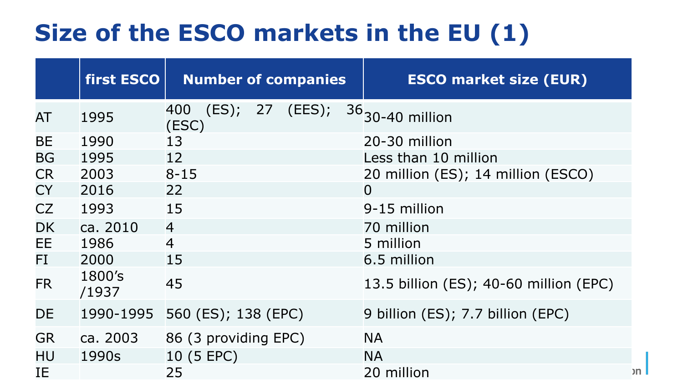## **Size of the ESCO markets in the EU (1)**

|           | first ESCO      | <b>Number of companies</b>      | <b>ESCO market size (EUR)</b> |                                        |  |  |
|-----------|-----------------|---------------------------------|-------------------------------|----------------------------------------|--|--|
| AT        | 1995            | 400<br>(ES); 27 (EES);<br>(ESC) |                               | $36$ <sub>30-40</sub> million          |  |  |
| <b>BE</b> | 1990            | 13                              |                               | 20-30 million                          |  |  |
| <b>BG</b> | 1995            | 12                              |                               | Less than 10 million                   |  |  |
| <b>CR</b> | 2003            | $8 - 15$                        |                               | 20 million (ES); 14 million (ESCO)     |  |  |
| <b>CY</b> | 2016            | 22                              |                               | $\overline{0}$                         |  |  |
| <b>CZ</b> | 1993            | 15                              |                               | 9-15 million                           |  |  |
| <b>DK</b> | ca. 2010        | $\overline{4}$                  |                               | 70 million                             |  |  |
| EE        | 1986            | $\overline{4}$                  |                               | 5 million                              |  |  |
| FI        | 2000            | 15                              |                               | 6.5 million                            |  |  |
| <b>FR</b> | 1800's<br>/1937 | 45                              |                               | 13.5 billion (ES); 40-60 million (EPC) |  |  |
| DE        | 1990-1995       | 560 (ES); 138 (EPC)             |                               | 9 billion (ES); 7.7 billion (EPC)      |  |  |
| <b>GR</b> | ca. 2003        | 86 (3 providing EPC)            |                               | <b>NA</b>                              |  |  |
| HU        | 1990s           | 10 (5 EPC)                      |                               | <b>NA</b>                              |  |  |
| IE        |                 | 25                              |                               | 20 million                             |  |  |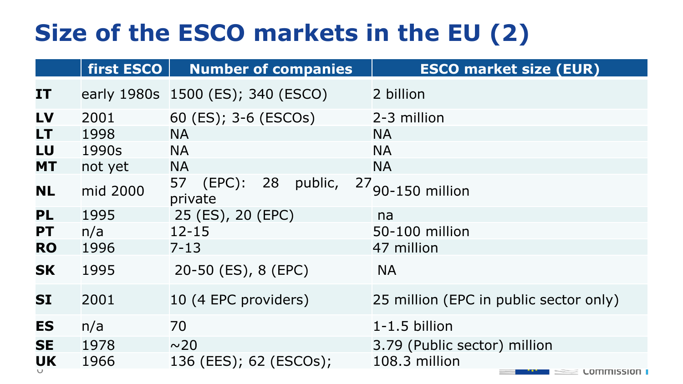# **Size of the ESCO markets in the EU (2)**

|           | first ESCO | <b>Number of companies</b>                  | <b>ESCO market size (EUR)</b>          |  |  |  |
|-----------|------------|---------------------------------------------|----------------------------------------|--|--|--|
| <b>IT</b> |            | early 1980s 1500 (ES); 340 (ESCO)           | 2 billion                              |  |  |  |
| LV        | 2001       | 60 (ES); 3-6 (ESCOs)                        | 2-3 million                            |  |  |  |
| LT        | 1998       | <b>NA</b>                                   | <b>NA</b>                              |  |  |  |
| LU        | 1990s      | <b>NA</b>                                   | <b>NA</b>                              |  |  |  |
| <b>MT</b> | not yet    | <b>NA</b>                                   | <b>NA</b>                              |  |  |  |
| <b>NL</b> | mid 2000   | $(EPC)$ :<br>28<br>57<br>public,<br>private | 27 <sub>90-150</sub> million           |  |  |  |
| PL        | 1995       | 25 (ES), 20 (EPC)                           | na                                     |  |  |  |
| <b>PT</b> | n/a        | $12 - 15$                                   | 50-100 million                         |  |  |  |
| <b>RO</b> | 1996       | $7 - 13$                                    | 47 million                             |  |  |  |
| <b>SK</b> | 1995       | 20-50 (ES), 8 (EPC)                         | <b>NA</b>                              |  |  |  |
| <b>SI</b> | 2001       | 10 (4 EPC providers)                        | 25 million (EPC in public sector only) |  |  |  |
| <b>ES</b> | n/a        | 70                                          | $1 - 1.5$ billion                      |  |  |  |
| <b>SE</b> | 1978       | $\sim$ 20                                   | 3.79 (Public sector) million           |  |  |  |
| <b>UK</b> | 1966       | 136 (EES); 62 (ESCOs);                      | 108.3 million<br><b>LOMMISSION</b>     |  |  |  |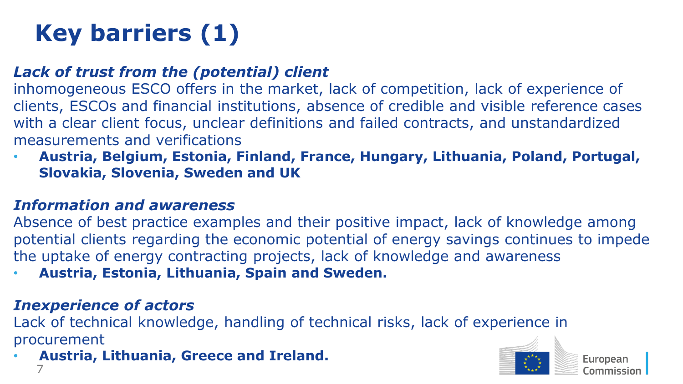# **Key barriers (1)**

#### *Lack of trust from the (potential) client*

inhomogeneous ESCO offers in the market, lack of competition, lack of experience of clients, ESCOs and financial institutions, absence of credible and visible reference cases with a clear client focus, unclear definitions and failed contracts, and unstandardized measurements and verifications

• **Austria, Belgium, Estonia, Finland, France, Hungary, Lithuania, Poland, Portugal, Slovakia, Slovenia, Sweden and UK**

#### *Information and awareness*

Absence of best practice examples and their positive impact, lack of knowledge among potential clients regarding the economic potential of energy savings continues to impede the uptake of energy contracting projects, lack of knowledge and awareness

• **Austria, Estonia, Lithuania, Spain and Sweden.** 

#### *Inexperience of actors*

Lack of technical knowledge, handling of technical risks, lack of experience in procurement

```
7
• Austria, Lithuania, Greece and Ireland.
```
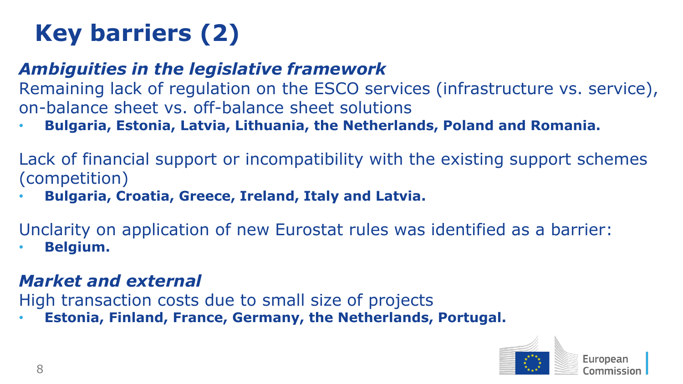# **Key barriers (2)**

#### *Ambiguities in the legislative framework*

Remaining lack of regulation on the ESCO services (infrastructure vs. service), on-balance sheet vs. off-balance sheet solutions

• **Bulgaria, Estonia, Latvia, Lithuania, the Netherlands, Poland and Romania.** 

Lack of financial support or incompatibility with the existing support schemes (competition)

• **Bulgaria, Croatia, Greece, Ireland, Italy and Latvia.** 

Unclarity on application of new Eurostat rules was identified as a barrier:

• **Belgium.** 

#### *Market and external*

High transaction costs due to small size of projects

• **Estonia, Finland, France, Germany, the Netherlands, Portugal.**

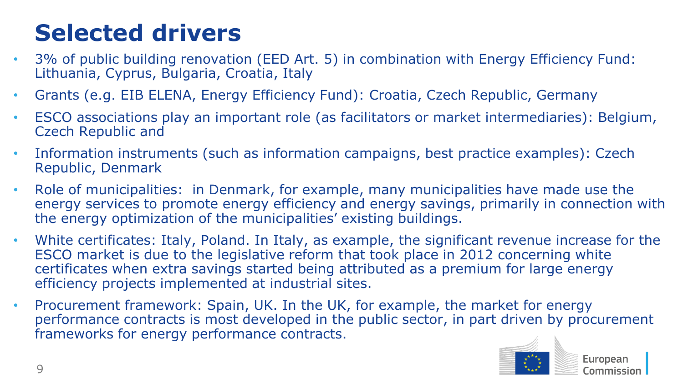# **Selected drivers**

- 3% of public building renovation (EED Art. 5) in combination with Energy Efficiency Fund: Lithuania, Cyprus, Bulgaria, Croatia, Italy
- Grants (e.g. EIB ELENA, Energy Efficiency Fund): Croatia, Czech Republic, Germany
- ESCO associations play an important role (as facilitators or market intermediaries): Belgium, Czech Republic and
- Information instruments (such as information campaigns, best practice examples): Czech Republic, Denmark
- Role of municipalities: in Denmark, for example, many municipalities have made use the energy services to promote energy efficiency and energy savings, primarily in connection with the energy optimization of the municipalities' existing buildings.
- White certificates: Italy, Poland. In Italy, as example, the significant revenue increase for the ESCO market is due to the legislative reform that took place in 2012 concerning white certificates when extra savings started being attributed as a premium for large energy efficiency projects implemented at industrial sites.
- Procurement framework: Spain, UK. In the UK, for example, the market for energy performance contracts is most developed in the public sector, in part driven by procurement frameworks for energy performance contracts.

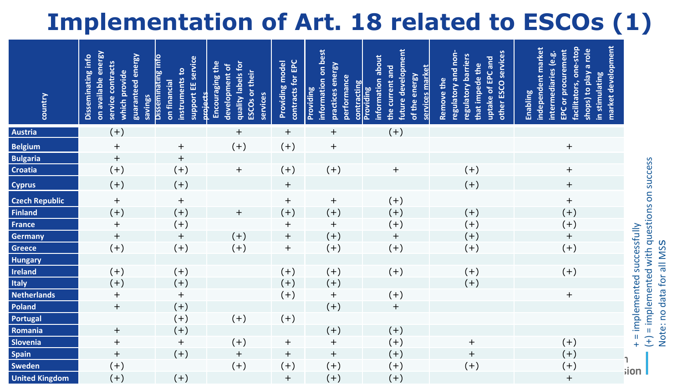# **Implementation of Art. 18 related to ESCOs (1)**

| country               | on available energy<br>guaranteed energy<br>Disseminating info<br>service contracts<br>which provide<br>savings | Disseminating info<br>support EE service<br>instruments to<br>on financial<br>tierre | quality labels for<br>Encouraging the<br>development of<br><b>ESCOs or their</b><br>services | contracts for EPC<br>Providing model | information on best<br>practices energy<br>performance<br>contracting<br>Providing | future development<br>information about<br>services market<br>the current and<br>of the energy<br>Providing | regulatory and non-<br>other ESCO services<br>regulatory barriers<br>uptake of EPC and<br>that impede the<br>Remove the | market development<br>facilitators, one-stop<br>independent market<br>shops) to play a role<br>EPC or procurement<br>intermediaries (e.g.<br>in stimulating<br>Enabling |                                             |
|-----------------------|-----------------------------------------------------------------------------------------------------------------|--------------------------------------------------------------------------------------|----------------------------------------------------------------------------------------------|--------------------------------------|------------------------------------------------------------------------------------|-------------------------------------------------------------------------------------------------------------|-------------------------------------------------------------------------------------------------------------------------|-------------------------------------------------------------------------------------------------------------------------------------------------------------------------|---------------------------------------------|
| <b>Austria</b>        | $(+)$                                                                                                           |                                                                                      | $\ddot{}$                                                                                    | $\ddot{}$                            | $\ddot{}$                                                                          | $(+)$                                                                                                       |                                                                                                                         |                                                                                                                                                                         |                                             |
| <b>Belgium</b>        | $\begin{array}{c} + \end{array}$                                                                                | $\overline{+}$                                                                       | $(+)$                                                                                        | $(+)$                                | $\ddot{}$                                                                          |                                                                                                             |                                                                                                                         | $\ddot{}$                                                                                                                                                               |                                             |
| <b>Bulgaria</b>       | $\begin{array}{c} + \end{array}$                                                                                | $+$                                                                                  |                                                                                              |                                      |                                                                                    |                                                                                                             |                                                                                                                         |                                                                                                                                                                         |                                             |
| Croatia               | $(+)$                                                                                                           | $(+)$                                                                                | $\ddot{}$                                                                                    | $(+)$                                | $(+)$                                                                              | $\mathrm{+}$                                                                                                | $(+)$                                                                                                                   | $^{+}$                                                                                                                                                                  |                                             |
| <b>Cyprus</b>         | $(+)$                                                                                                           | $(+)$                                                                                |                                                                                              | $+$                                  |                                                                                    |                                                                                                             | $(+)$                                                                                                                   | $\! + \!$                                                                                                                                                               | (+) = implemented with questions on success |
| <b>Czech Republic</b> | $\overline{+}$                                                                                                  | $\ddot{}$                                                                            |                                                                                              | $+$                                  | $\overline{+}$                                                                     | $(+)$                                                                                                       |                                                                                                                         | $\begin{array}{c} + \end{array}$                                                                                                                                        |                                             |
| <b>Finland</b>        | $(+)$                                                                                                           | $(+)$                                                                                | $\overline{+}$                                                                               | $(+)$                                | $(+)$                                                                              | $(+)$                                                                                                       | $(+)$                                                                                                                   | $(+)$                                                                                                                                                                   |                                             |
| <b>France</b>         | $\begin{array}{c} + \end{array}$                                                                                | $(+)$                                                                                |                                                                                              | $\ddot{}$                            | $+$                                                                                | $(+)$                                                                                                       | $(+)$                                                                                                                   | $^{(+)}$                                                                                                                                                                |                                             |
| Germany               | $\overline{+}$                                                                                                  | $+$                                                                                  | $(+)$                                                                                        | $+$                                  | $(+)$                                                                              | $+$                                                                                                         | $(+)$                                                                                                                   | $\qquad \qquad +$                                                                                                                                                       | + = implemented successfully                |
| Greece                | $(+)$                                                                                                           | $(+)$                                                                                | $(+)$                                                                                        | $\ddot{}$                            | $(+)$                                                                              | $(+)$                                                                                                       | $(+)$                                                                                                                   | $(+)$                                                                                                                                                                   | Note: no data for all MSS                   |
| Hungary               |                                                                                                                 |                                                                                      |                                                                                              |                                      |                                                                                    |                                                                                                             |                                                                                                                         |                                                                                                                                                                         |                                             |
| Ireland               | $(+)$                                                                                                           | $(+)$                                                                                |                                                                                              | $(+)$                                | $(+)$                                                                              | $(+)$                                                                                                       | $(+)$                                                                                                                   | $(+)$                                                                                                                                                                   |                                             |
| Italy                 | $(+)$                                                                                                           | $(+)$                                                                                |                                                                                              | $(+)$                                | $(+)$                                                                              |                                                                                                             | $(+)$                                                                                                                   |                                                                                                                                                                         |                                             |
| <b>Netherlands</b>    | $\begin{array}{c} + \end{array}$                                                                                | $+$                                                                                  |                                                                                              | $(+)$                                | $\ddot{}$                                                                          | $(+)$                                                                                                       |                                                                                                                         | $\ddot{}$                                                                                                                                                               |                                             |
| Poland                | $\qquad \qquad +$                                                                                               | $(+)$                                                                                |                                                                                              |                                      | $(+)$                                                                              | $+$                                                                                                         |                                                                                                                         |                                                                                                                                                                         |                                             |
| Portugal              |                                                                                                                 | $(+)$                                                                                | $(+)$                                                                                        | $(+)$                                |                                                                                    |                                                                                                             |                                                                                                                         |                                                                                                                                                                         |                                             |
| Romania               | $^{+}$                                                                                                          | $(+)$                                                                                |                                                                                              |                                      | $(+)$                                                                              | $^{(+)}$                                                                                                    |                                                                                                                         |                                                                                                                                                                         |                                             |
| Slovenia              | $\begin{array}{c} + \end{array}$                                                                                | $\overline{+}$                                                                       | $(+)$                                                                                        | $\ddot{}$                            | $\ddot{}$                                                                          | $(+)$                                                                                                       | $\qquad \qquad +$                                                                                                       | $(+)$                                                                                                                                                                   |                                             |
| <b>Spain</b>          | $\overline{+}$                                                                                                  | $(+)$                                                                                | $\begin{array}{c} + \end{array}$                                                             | $^{+}$                               | $\ddot{}$                                                                          | $(+)$                                                                                                       | $\ddot{}$                                                                                                               | $(+)$                                                                                                                                                                   |                                             |
| Sweden                | $(+)$                                                                                                           |                                                                                      | $(+)$                                                                                        | $(+)$                                | $^{(+)}$                                                                           | $(+)$                                                                                                       | $(+)$                                                                                                                   | $^{(+)}$                                                                                                                                                                | iion                                        |
| <b>United Kingdom</b> | $(+)$                                                                                                           | $(+)$                                                                                |                                                                                              | $\ddot{}$                            | $(+)$                                                                              | $(+)$                                                                                                       |                                                                                                                         | $\ddot{}$                                                                                                                                                               |                                             |

Note: no data for all MS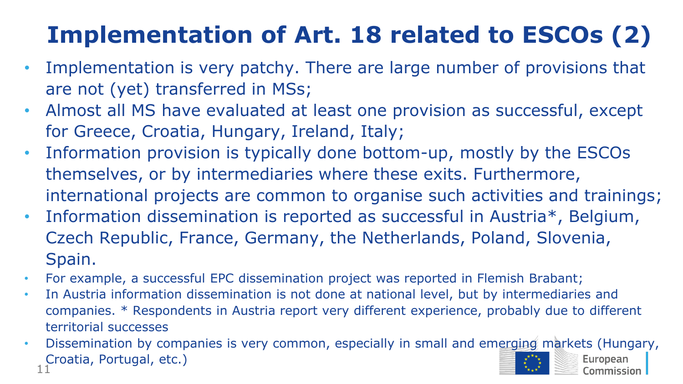# **Implementation of Art. 18 related to ESCOs (2)**

- Implementation is very patchy. There are large number of provisions that are not (yet) transferred in MSs;
- Almost all MS have evaluated at least one provision as successful, except for Greece, Croatia, Hungary, Ireland, Italy;
- Information provision is typically done bottom-up, mostly by the ESCOs themselves, or by intermediaries where these exits. Furthermore, international projects are common to organise such activities and trainings;
- Information dissemination is reported as successful in Austria\*, Belgium, Czech Republic, France, Germany, the Netherlands, Poland, Slovenia, Spain.
- For example, a successful EPC dissemination project was reported in Flemish Brabant;
- In Austria information dissemination is not done at national level, but by intermediaries and companies. \* Respondents in Austria report very different experience, probably due to different territorial successes
- 11 • Dissemination by companies is very common, especially in small and emerging markets (Hungary, Croatia, Portugal, etc.)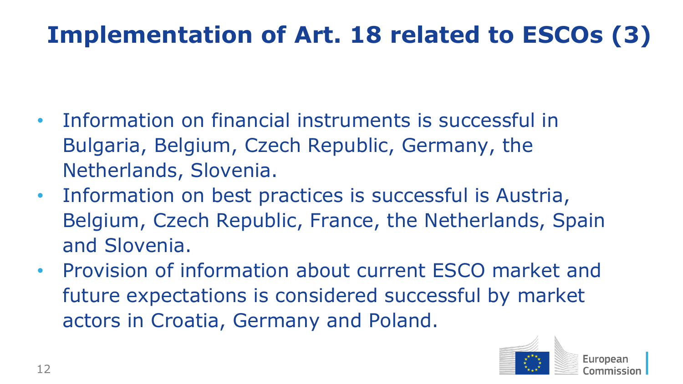# **Implementation of Art. 18 related to ESCOs (3)**

- Information on financial instruments is successful in Bulgaria, Belgium, Czech Republic, Germany, the Netherlands, Slovenia.
- Information on best practices is successful is Austria, Belgium, Czech Republic, France, the Netherlands, Spain and Slovenia.
- Provision of information about current ESCO market and future expectations is considered successful by market actors in Croatia, Germany and Poland.

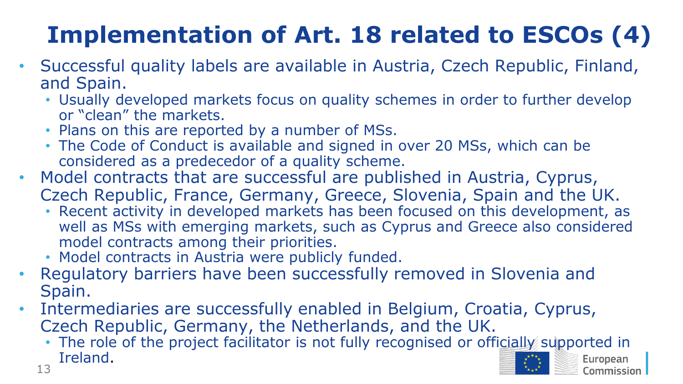# **Implementation of Art. 18 related to ESCOs (4)**

- Successful quality labels are available in Austria, Czech Republic, Finland, and Spain.
	- Usually developed markets focus on quality schemes in order to further develop or "clean" the markets.
	- Plans on this are reported by a number of MSs.
	- The Code of Conduct is available and signed in over 20 MSs, which can be considered as a predecedor of a quality scheme.
- Model contracts that are successful are published in Austria, Cyprus, Czech Republic, France, Germany, Greece, Slovenia, Spain and the UK.
	- Recent activity in developed markets has been focused on this development, as well as MSs with emerging markets, such as Cyprus and Greece also considered model contracts among their priorities.
	- Model contracts in Austria were publicly funded.
- Regulatory barriers have been successfully removed in Slovenia and Spain.
- Intermediaries are successfully enabled in Belgium, Croatia, Cyprus, Czech Republic, Germany, the Netherlands, and the UK.
	- The role of the project facilitator is not fully recognised or officially supported in Ireland.European 13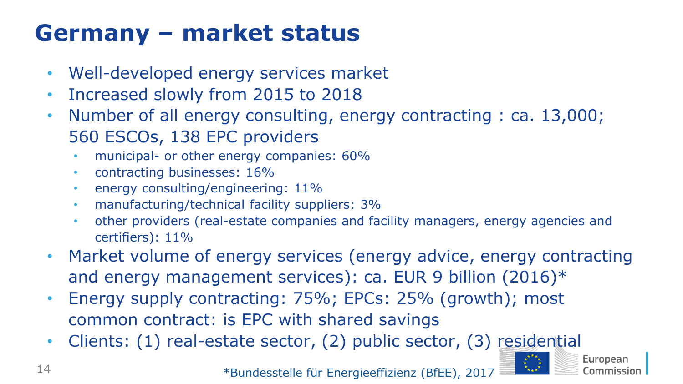# **Germany – market status**

- Well-developed energy services market
- Increased slowly from 2015 to 2018
- Number of all energy consulting, energy contracting : ca. 13,000; 560 ESCOs, 138 EPC providers
	- municipal- or other energy companies: 60%
	- contracting businesses: 16%
	- energy consulting/engineering: 11%
	- manufacturing/technical facility suppliers: 3%
	- other providers (real-estate companies and facility managers, energy agencies and certifiers): 11%
- Market volume of energy services (energy advice, energy contracting and energy management services): ca. EUR 9 billion (2016)\*
- Energy supply contracting: 75%; EPCs: 25% (growth); most common contract: is EPC with shared savings
- Clients: (1) real-estate sector, (2) public sector, (3) residential

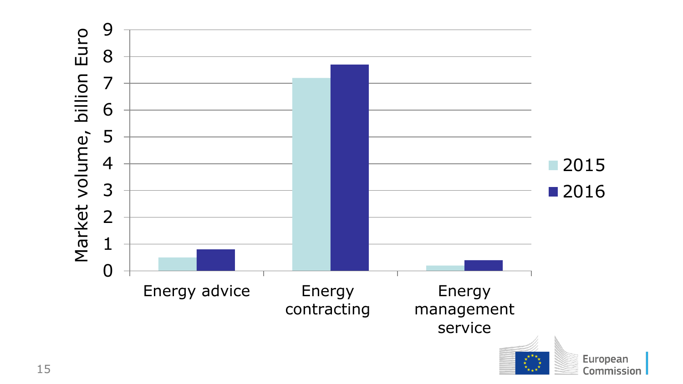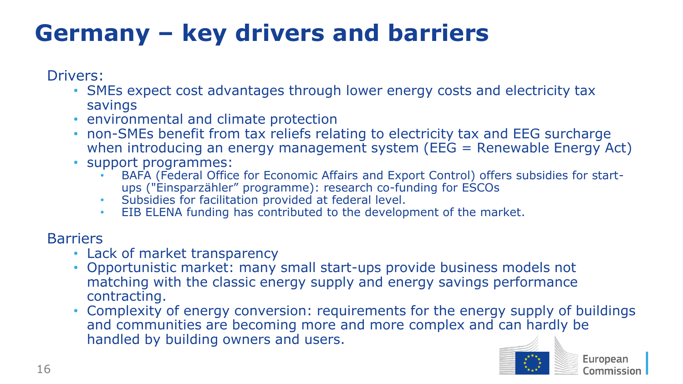# **Germany – key drivers and barriers**

Drivers:

- SMEs expect cost advantages through lower energy costs and electricity tax savings
- environmental and climate protection
- non-SMEs benefit from tax reliefs relating to electricity tax and EEG surcharge when introducing an energy management system (EEG = Renewable Energy Act)
- support programmes:
	- BAFA (Federal Office for Economic Affairs and Export Control) offers subsidies for startups ("Einsparzähler" programme): research co-funding for ESCOs
	- Subsidies for facilitation provided at federal level.
	- EIB ELENA funding has contributed to the development of the market.

#### **Barriers**

- Lack of market transparency
- Opportunistic market: many small start-ups provide business models not matching with the classic energy supply and energy savings performance contracting.
- Complexity of energy conversion: requirements for the energy supply of buildings and communities are becoming more and more complex and can hardly be handled by building owners and users.

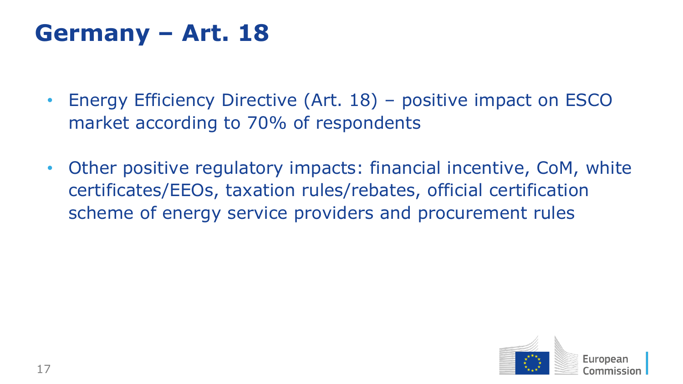### **Germany – Art. 18**

- Energy Efficiency Directive (Art. 18) positive impact on ESCO market according to 70% of respondents
- Other positive regulatory impacts: financial incentive, CoM, white certificates/EEOs, taxation rules/rebates, official certification scheme of energy service providers and procurement rules

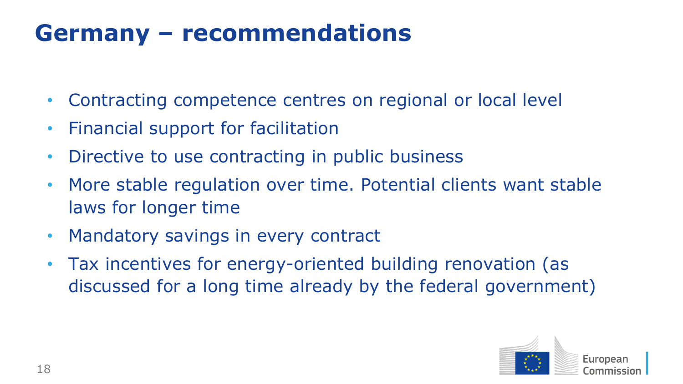## **Germany – recommendations**

- Contracting competence centres on regional or local level
- Financial support for facilitation
- Directive to use contracting in public business
- More stable regulation over time. Potential clients want stable laws for longer time
- Mandatory savings in every contract
- Tax incentives for energy-oriented building renovation (as discussed for a long time already by the federal government)

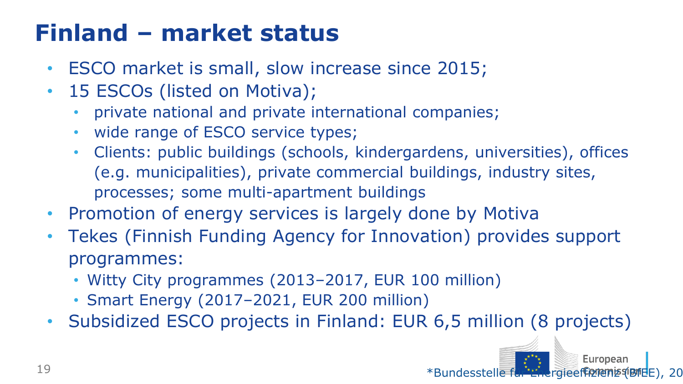# **Finland – market status**

- ESCO market is small, slow increase since 2015;
- 15 ESCOs (listed on Motiva);
	- private national and private international companies;
	- wide range of ESCO service types;
	- Clients: public buildings (schools, kindergardens, universities), offices (e.g. municipalities), private commercial buildings, industry sites, processes; some multi-apartment buildings
- Promotion of energy services is largely done by Motiva
- Tekes (Finnish Funding Agency for Innovation) provides support programmes:
	- Witty City programmes (2013–2017, EUR 100 million)
	- Smart Energy (2017–2021, EUR 200 million)
- Subsidized ESCO projects in Finland: EUR 6,5 million (8 projects)

\*Bundesstelle für Energieeffizienz (BfEE), 20

European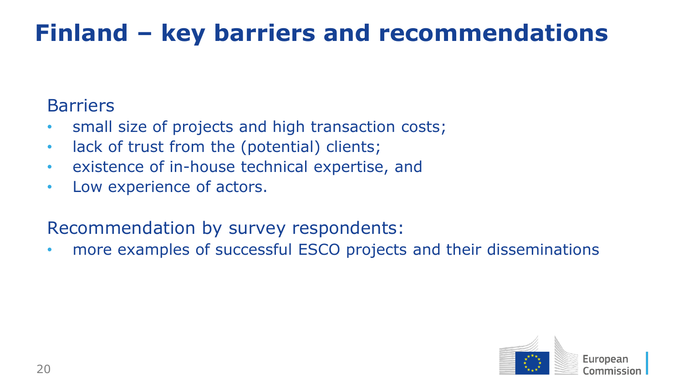# **Finland – key barriers and recommendations**

#### **Barriers**

- small size of projects and high transaction costs;
- lack of trust from the (potential) clients;
- existence of in-house technical expertise, and
- Low experience of actors.

### Recommendation by survey respondents:

• more examples of successful ESCO projects and their disseminations

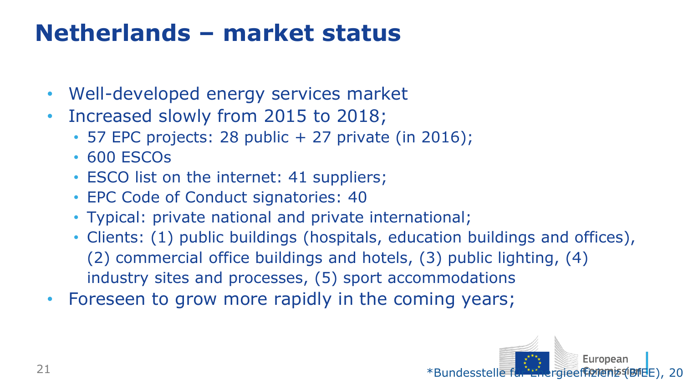## **Netherlands – market status**

- Well-developed energy services market
- Increased slowly from 2015 to 2018;
	- 57 EPC projects: 28 public + 27 private (in 2016);
	- 600 ESCOs
	- ESCO list on the internet: 41 suppliers;
	- EPC Code of Conduct signatories: 40
	- Typical: private national and private international;
	- Clients: (1) public buildings (hospitals, education buildings and offices), (2) commercial office buildings and hotels, (3) public lighting, (4) industry sites and processes, (5) sport accommodations
- Foreseen to grow more rapidly in the coming years;

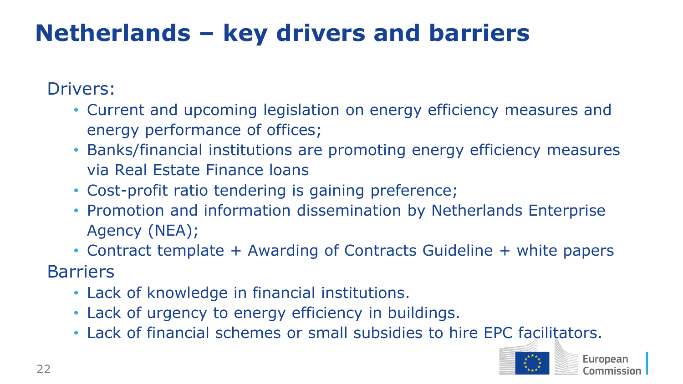# **Netherlands – key drivers and barriers**

Drivers:

- Current and upcoming legislation on energy efficiency measures and energy performance of offices;
- Banks/financial institutions are promoting energy efficiency measures via Real Estate Finance loans
- Cost-profit ratio tendering is gaining preference;
- Promotion and information dissemination by Netherlands Enterprise Agency (NEA);
- Contract template + Awarding of Contracts Guideline + white papers

**Barriers** 

- Lack of knowledge in financial institutions.
- Lack of urgency to energy efficiency in buildings.
- Lack of financial schemes or small subsidies to hire EPC facilitators.

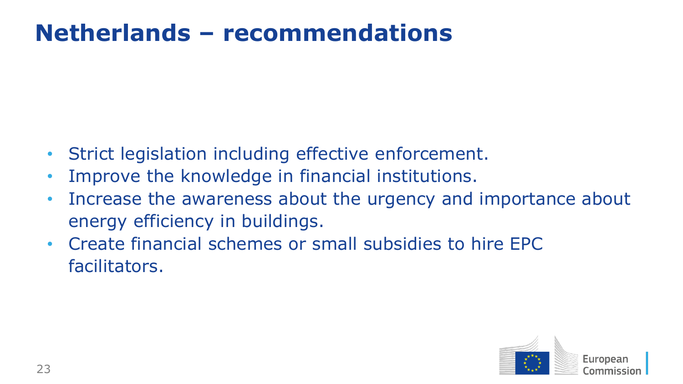## **Netherlands – recommendations**

- Strict legislation including effective enforcement.
- Improve the knowledge in financial institutions.
- Increase the awareness about the urgency and importance about energy efficiency in buildings.
- Create financial schemes or small subsidies to hire EPC facilitators.